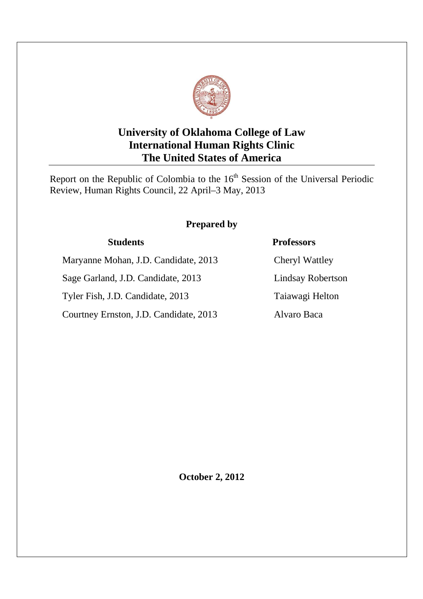

# **University of Oklahoma College of Law International Human Rights Clinic The United States of America**

Report on the Republic of Colombia to the 16<sup>th</sup> Session of the Universal Periodic Review, Human Rights Council, 22 April–3 May, 2013

# **Prepared by**

Maryanne Mohan, J.D. Candidate, 2013 Cheryl Wattley

Sage Garland, J.D. Candidate, 2013 Lindsay Robertson

Tyler Fish, J.D. Candidate, 2013 Taiawagi Helton

Courtney Ernston, J.D. Candidate, 2013 Alvaro Baca

# **Students Professors**

**October 2, 2012**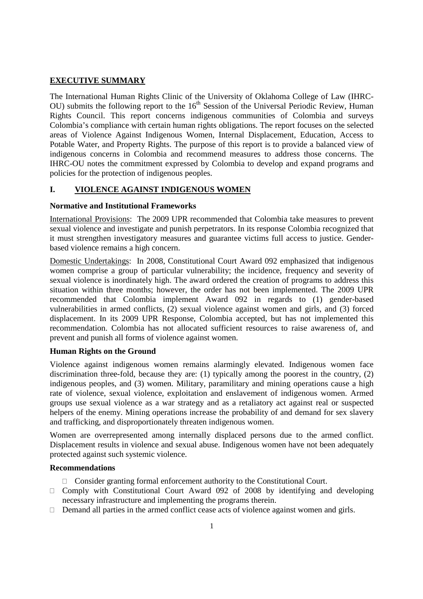# **EXECUTIVE SUMMARY**

The International Human Rights Clinic of the University of Oklahoma College of Law (IHRC-OU) submits the following report to the  $16<sup>th</sup>$  Session of the Universal Periodic Review, Human Rights Council. This report concerns indigenous communities of Colombia and surveys Colombia's compliance with certain human rights obligations. The report focuses on the selected areas of Violence Against Indigenous Women, Internal Displacement, Education, Access to Potable Water, and Property Rights. The purpose of this report is to provide a balanced view of indigenous concerns in Colombia and recommend measures to address those concerns. The IHRC-OU notes the commitment expressed by Colombia to develop and expand programs and policies for the protection of indigenous peoples.

# **I. VIOLENCE AGAINST INDIGENOUS WOMEN**

#### **Normative and Institutional Frameworks**

International Provisions: The 2009 UPR recommended that Colombia take measures to prevent sexual violence and investigate and punish perpetrators. In its response Colombia recognized that it must strengthen investigatory measures and guarantee victims full access to justice. Genderbased violence remains a high concern.

Domestic Undertakings: In 2008, Constitutional Court Award 092 emphasized that indigenous women comprise a group of particular vulnerability; the incidence, frequency and severity of sexual violence is inordinately high. The award ordered the creation of programs to address this situation within three months; however, the order has not been implemented. The 2009 UPR recommended that Colombia implement Award 092 in regards to (1) gender-based vulnerabilities in armed conflicts, (2) sexual violence against women and girls, and (3) forced displacement. In its 2009 UPR Response, Colombia accepted, but has not implemented this recommendation. Colombia has not allocated sufficient resources to raise awareness of, and prevent and punish all forms of violence against women.

### **Human Rights on the Ground**

Violence against indigenous women remains alarmingly elevated. Indigenous women face discrimination three-fold, because they are: (1) typically among the poorest in the country, (2) indigenous peoples, and (3) women. Military, paramilitary and mining operations cause a high rate of violence, sexual violence, exploitation and enslavement of indigenous women. Armed groups use sexual violence as a war strategy and as a retaliatory act against real or suspected helpers of the enemy. Mining operations increase the probability of and demand for sex slavery and trafficking, and disproportionately threaten indigenous women.

Women are overrepresented among internally displaced persons due to the armed conflict. Displacement results in violence and sexual abuse. Indigenous women have not been adequately protected against such systemic violence.

### **Recommendations**

Consider granting formal enforcement authority to the Constitutional Court.

Comply with Constitutional Court Award 092 of 2008 by identifying and developing necessary infrastructure and implementing the programs therein.

Demand all parties in the armed conflict cease acts of violence against women and girls.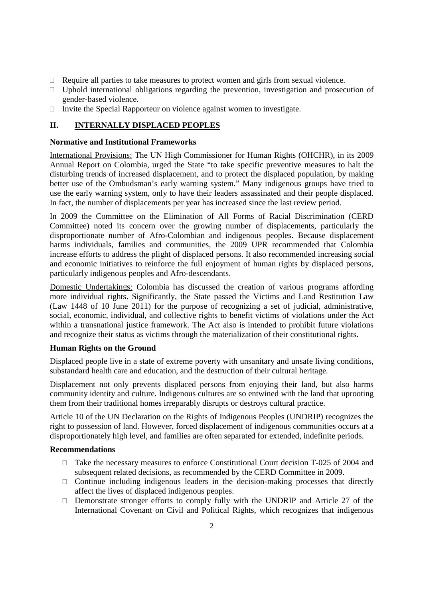Require all parties to take measures to protect women and girls from sexual violence. Uphold international obligations regarding the prevention, investigation and prosecution of gender-based violence.

Invite the Special Rapporteur on violence against women to investigate.

# **II. INTERNALLY DISPLACED PEOPLES**

#### **Normative and Institutional Frameworks**

International Provisions: The UN High Commissioner for Human Rights (OHCHR), in its 2009 Annual Report on Colombia, urged the State "to take specific preventive measures to halt the disturbing trends of increased displacement, and to protect the displaced population, by making better use of the Ombudsman's early warning system." Many indigenous groups have tried to use the early warning system, only to have their leaders assassinated and their people displaced. In fact, the number of displacements per year has increased since the last review period.

In 2009 the Committee on the Elimination of All Forms of Racial Discrimination (CERD Committee) noted its concern over the growing number of displacements, particularly the disproportionate number of Afro-Colombian and indigenous peoples. Because displacement harms individuals, families and communities, the 2009 UPR recommended that Colombia increase efforts to address the plight of displaced persons. It also recommended increasing social and economic initiatives to reinforce the full enjoyment of human rights by displaced persons, particularly indigenous peoples and Afro-descendants.

Domestic Undertakings: Colombia has discussed the creation of various programs affording more individual rights. Significantly, the State passed the Victims and Land Restitution Law (Law 1448 of 10 June 2011) for the purpose of recognizing a set of judicial, administrative, social, economic, individual, and collective rights to benefit victims of violations under the Act within a transnational justice framework. The Act also is intended to prohibit future violations and recognize their status as victims through the materialization of their constitutional rights.

### **Human Rights on the Ground**

Displaced people live in a state of extreme poverty with unsanitary and unsafe living conditions, substandard health care and education, and the destruction of their cultural heritage.

Displacement not only prevents displaced persons from enjoying their land, but also harms community identity and culture. Indigenous cultures are so entwined with the land that uprooting them from their traditional homes irreparably disrupts or destroys cultural practice.

Article 10 of the UN Declaration on the Rights of Indigenous Peoples (UNDRIP) recognizes the right to possession of land. However, forced displacement of indigenous communities occurs at a disproportionately high level, and families are often separated for extended, indefinite periods.

#### **Recommendations**

Take the necessary measures to enforce Constitutional Court decision T-025 of 2004 and subsequent related decisions, as recommended by the CERD Committee in 2009.

Continue including indigenous leaders in the decision-making processes that directly affect the lives of displaced indigenous peoples.

Demonstrate stronger efforts to comply fully with the UNDRIP and Article 27 of the International Covenant on Civil and Political Rights, which recognizes that indigenous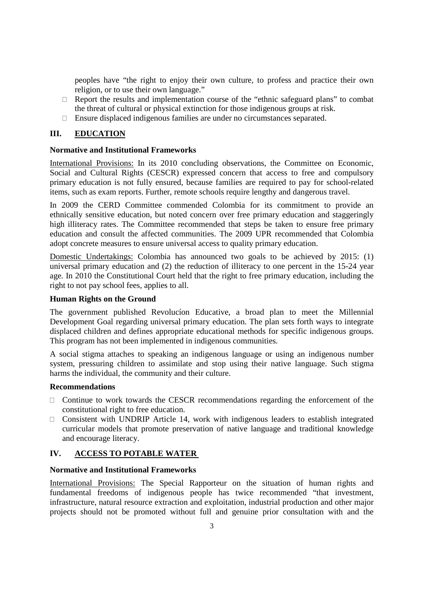peoples have "the right to enjoy their own culture, to profess and practice their own religion, or to use their own language."

Report the results and implementation course of the "ethnic safeguard plans" to combat the threat of cultural or physical extinction for those indigenous groups at risk.

Ensure displaced indigenous families are under no circumstances separated.

### **III. EDUCATION**

#### **Normative and Institutional Frameworks**

International Provisions: In its 2010 concluding observations, the Committee on Economic, Social and Cultural Rights (CESCR) expressed concern that access to free and compulsory primary education is not fully ensured, because families are required to pay for school-related items, such as exam reports. Further, remote schools require lengthy and dangerous travel.

In 2009 the CERD Committee commended Colombia for its commitment to provide an ethnically sensitive education, but noted concern over free primary education and staggeringly high illiteracy rates. The Committee recommended that steps be taken to ensure free primary education and consult the affected communities. The 2009 UPR recommended that Colombia adopt concrete measures to ensure universal access to quality primary education.

Domestic Undertakings: Colombia has announced two goals to be achieved by 2015: (1) universal primary education and (2) the reduction of illiteracy to one percent in the 15-24 year age. In 2010 the Constitutional Court held that the right to free primary education, including the right to not pay school fees, applies to all.

#### **Human Rights on the Ground**

The government published Revolucíon Educative, a broad plan to meet the Millennial Development Goal regarding universal primary education. The plan sets forth ways to integrate displaced children and defines appropriate educational methods for specific indigenous groups. This program has not been implemented in indigenous communities.

A social stigma attaches to speaking an indigenous language or using an indigenous number system, pressuring children to assimilate and stop using their native language. Such stigma harms the individual, the community and their culture.

#### **Recommendations**

Continue to work towards the CESCR recommendations regarding the enforcement of the constitutional right to free education.

Consistent with UNDRIP Article 14, work with indigenous leaders to establish integrated curricular models that promote preservation of native language and traditional knowledge and encourage literacy.

### **IV. ACCESS TO POTABLE WATER**

#### **Normative and Institutional Frameworks**

International Provisions: The Special Rapporteur on the situation of human rights and fundamental freedoms of indigenous people has twice recommended "that investment, infrastructure, natural resource extraction and exploitation, industrial production and other major projects should not be promoted without full and genuine prior consultation with and the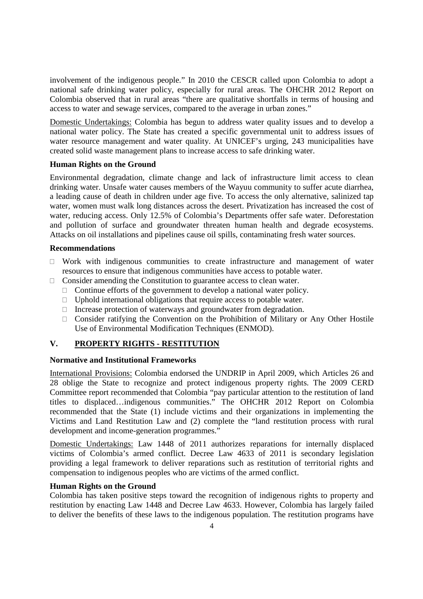involvement of the indigenous people." In 2010 the CESCR called upon Colombia to adopt a national safe drinking water policy, especially for rural areas. The OHCHR 2012 Report on Colombia observed that in rural areas "there are qualitative shortfalls in terms of housing and access to water and sewage services, compared to the average in urban zones."

Domestic Undertakings: Colombia has begun to address water quality issues and to develop a national water policy. The State has created a specific governmental unit to address issues of water resource management and water quality. At UNICEF's urging, 243 municipalities have created solid waste management plans to increase access to safe drinking water.

# **Human Rights on the Ground**

Environmental degradation, climate change and lack of infrastructure limit access to clean drinking water. Unsafe water causes members of the Wayuu community to suffer acute diarrhea, a leading cause of death in children under age five. To access the only alternative, salinized tap water, women must walk long distances across the desert. Privatization has increased the cost of water, reducing access. Only 12.5% of Colombia's Departments offer safe water. Deforestation and pollution of surface and groundwater threaten human health and degrade ecosystems. Attacks on oil installations and pipelines cause oil spills, contaminating fresh water sources.

### **Recommendations**

Work with indigenous communities to create infrastructure and management of water resources to ensure that indigenous communities have access to potable water.

Consider amending the Constitution to guarantee access to clean water.

Continue efforts of the government to develop a national water policy.

Uphold international obligations that require access to potable water.

Increase protection of waterways and groundwater from degradation.

Consider ratifying the Convention on the Prohibition of Military or Any Other Hostile Use of Environmental Modification Techniques (ENMOD).

# **V. PROPERTY RIGHTS - RESTITUTION**

### **Normative and Institutional Frameworks**

International Provisions: Colombia endorsed the UNDRIP in April 2009, which Articles 26 and 28 oblige the State to recognize and protect indigenous property rights. The 2009 CERD Committee report recommended that Colombia "pay particular attention to the restitution of land titles to displaced…indigenous communities." The OHCHR 2012 Report on Colombia recommended that the State (1) include victims and their organizations in implementing the Victims and Land Restitution Law and (2) complete the "land restitution process with rural development and income-generation programmes."

Domestic Undertakings: Law 1448 of 2011 authorizes reparations for internally displaced victims of Colombia's armed conflict. Decree Law 4633 of 2011 is secondary legislation providing a legal framework to deliver reparations such as restitution of territorial rights and compensation to indigenous peoples who are victims of the armed conflict.

# **Human Rights on the Ground**

Colombia has taken positive steps toward the recognition of indigenous rights to property and restitution by enacting Law 1448 and Decree Law 4633. However, Colombia has largely failed to deliver the benefits of these laws to the indigenous population. The restitution programs have